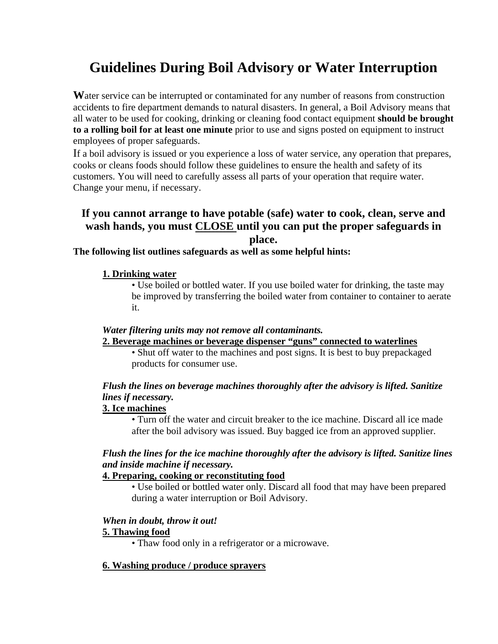# **Guidelines During Boil Advisory or Water Interruption**

**W**ater service can be interrupted or contaminated for any number of reasons from construction accidents to fire department demands to natural disasters. In general, a Boil Advisory means that all water to be used for cooking, drinking or cleaning food contact equipment **should be brought to a rolling boil for at least one minute** prior to use and signs posted on equipment to instruct employees of proper safeguards.

If a boil advisory is issued or you experience a loss of water service, any operation that prepares, cooks or cleans foods should follow these guidelines to ensure the health and safety of its customers. You will need to carefully assess all parts of your operation that require water. Change your menu, if necessary.

# **If you cannot arrange to have potable (safe) water to cook, clean, serve and wash hands, you must CLOSE until you can put the proper safeguards in place.**

## **The following list outlines safeguards as well as some helpful hints:**

#### **1. Drinking water**

• Use boiled or bottled water. If you use boiled water for drinking, the taste may be improved by transferring the boiled water from container to container to aerate it.

#### *Water filtering units may not remove all contaminants.*

#### **2. Beverage machines or beverage dispenser "guns" connected to waterlines**

• Shut off water to the machines and post signs. It is best to buy prepackaged products for consumer use.

## *Flush the lines on beverage machines thoroughly after the advisory is lifted. Sanitize lines if necessary.*

#### **3. Ice machines**

• Turn off the water and circuit breaker to the ice machine. Discard all ice made after the boil advisory was issued. Buy bagged ice from an approved supplier.

## *Flush the lines for the ice machine thoroughly after the advisory is lifted. Sanitize lines and inside machine if necessary.*

## **4. Preparing, cooking or reconstituting food**

• Use boiled or bottled water only. Discard all food that may have been prepared during a water interruption or Boil Advisory.

#### *When in doubt, throw it out!*

#### **5. Thawing food**

• Thaw food only in a refrigerator or a microwave.

#### **6. Washing produce / produce sprayers**